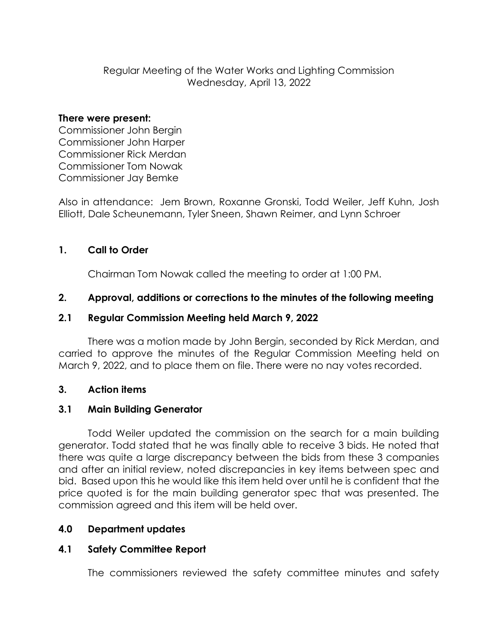# Regular Meeting of the Water Works and Lighting Commission Wednesday, April 13, 2022

#### **There were present:**

Commissioner John Bergin Commissioner John Harper Commissioner Rick Merdan Commissioner Tom Nowak Commissioner Jay Bemke

Also in attendance: Jem Brown, Roxanne Gronski, Todd Weiler, Jeff Kuhn, Josh Elliott, Dale Scheunemann, Tyler Sneen, Shawn Reimer, and Lynn Schroer

## **1. Call to Order**

Chairman Tom Nowak called the meeting to order at 1:00 PM.

## **2. Approval, additions or corrections to the minutes of the following meeting**

## **2.1 Regular Commission Meeting held March 9, 2022**

There was a motion made by John Bergin, seconded by Rick Merdan, and carried to approve the minutes of the Regular Commission Meeting held on March 9, 2022, and to place them on file. There were no nay votes recorded.

#### **3. Action items**

#### **3.1 Main Building Generator**

Todd Weiler updated the commission on the search for a main building generator. Todd stated that he was finally able to receive 3 bids. He noted that there was quite a large discrepancy between the bids from these 3 companies and after an initial review, noted discrepancies in key items between spec and bid. Based upon this he would like this item held over until he is confident that the price quoted is for the main building generator spec that was presented. The commission agreed and this item will be held over.

#### **4.0 Department updates**

#### **4.1 Safety Committee Report**

The commissioners reviewed the safety committee minutes and safety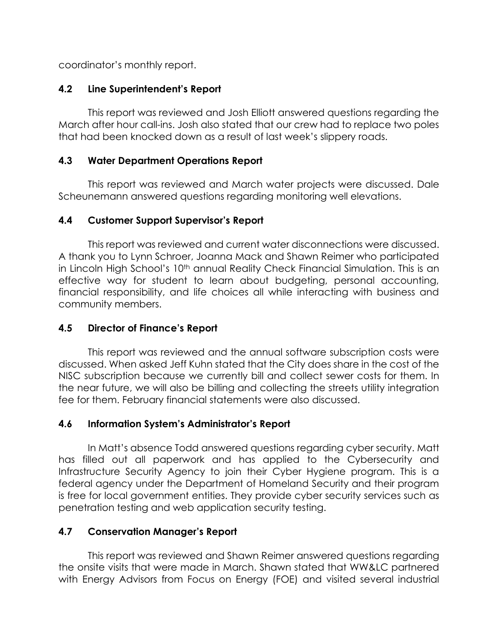coordinator's monthly report.

# **4.2 Line Superintendent's Report**

This report was reviewed and Josh Elliott answered questions regarding the March after hour call-ins. Josh also stated that our crew had to replace two poles that had been knocked down as a result of last week's slippery roads.

## **4.3 Water Department Operations Report**

This report was reviewed and March water projects were discussed. Dale Scheunemann answered questions regarding monitoring well elevations.

## **4.4 Customer Support Supervisor's Report**

This report was reviewed and current water disconnections were discussed. A thank you to Lynn Schroer, Joanna Mack and Shawn Reimer who participated in Lincoln High School's 10<sup>th</sup> annual Reality Check Financial Simulation. This is an effective way for student to learn about budgeting, personal accounting, financial responsibility, and life choices all while interacting with business and community members.

# **4.5 Director of Finance's Report**

This report was reviewed and the annual software subscription costs were discussed. When asked Jeff Kuhn stated that the City does share in the cost of the NISC subscription because we currently bill and collect sewer costs for them. In the near future, we will also be billing and collecting the streets utility integration fee for them. February financial statements were also discussed.

#### **4.6 Information System's Administrator's Report**

In Matt's absence Todd answered questions regarding cyber security. Matt has filled out all paperwork and has applied to the Cybersecurity and Infrastructure Security Agency to join their Cyber Hygiene program. This is a federal agency under the Department of Homeland Security and their program is free for local government entities. They provide cyber security services such as penetration testing and web application security testing.

# **4.7 Conservation Manager's Report**

This report was reviewed and Shawn Reimer answered questions regarding the onsite visits that were made in March. Shawn stated that WW&LC partnered with Energy Advisors from Focus on Energy (FOE) and visited several industrial